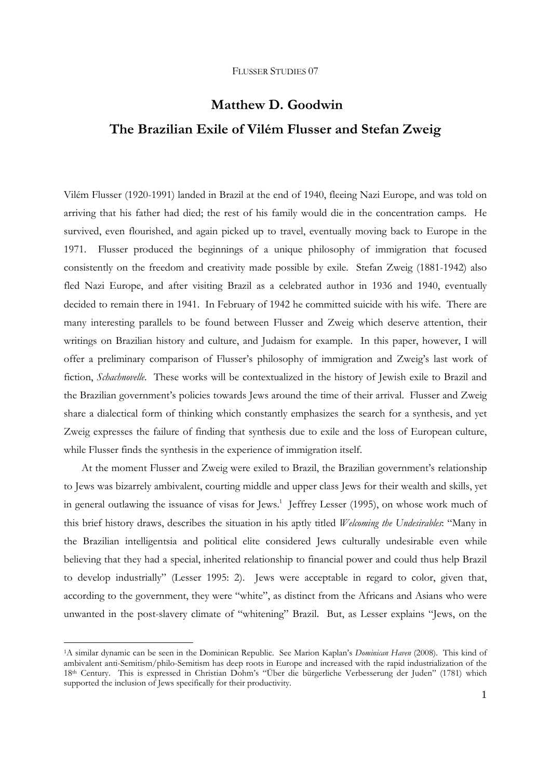# **Matthew D. Goodwin The Brazilian Exile of Vilém Flusser and Stefan Zweig**

Vilém Flusser (1920-1991) landed in Brazil at the end of 1940, fleeing Nazi Europe, and was told on arriving that his father had died; the rest of his family would die in the concentration camps. He survived, even flourished, and again picked up to travel, eventually moving back to Europe in the 1971. Flusser produced the beginnings of a unique philosophy of immigration that focused consistently on the freedom and creativity made possible by exile. Stefan Zweig (1881-1942) also fled Nazi Europe, and after visiting Brazil as a celebrated author in 1936 and 1940, eventually decided to remain there in 1941. In February of 1942 he committed suicide with his wife. There are many interesting parallels to be found between Flusser and Zweig which deserve attention, their writings on Brazilian history and culture, and Judaism for example. In this paper, however, I will offer a preliminary comparison of Flusser's philosophy of immigration and Zweig's last work of fiction, *Schachnovelle*. These works will be contextualized in the history of Jewish exile to Brazil and the Brazilian government's policies towards Jews around the time of their arrival. Flusser and Zweig share a dialectical form of thinking which constantly emphasizes the search for a synthesis, and yet Zweig expresses the failure of finding that synthesis due to exile and the loss of European culture, while Flusser finds the synthesis in the experience of immigration itself.

 At the moment Flusser and Zweig were exiled to Brazil, the Brazilian government's relationship to Jews was bizarrely ambivalent, courting middle and upper class Jews for their wealth and skills, yet in general outlawing the issuance of visas for Jews.<sup>1</sup> Jeffrey Lesser (1995), on whose work much of this brief history draws, describes the situation in his aptly titled *Welcoming the Undesirables*: "Many in the Brazilian intelligentsia and political elite considered Jews culturally undesirable even while believing that they had a special, inherited relationship to financial power and could thus help Brazil to develop industrially" (Lesser 1995: 2). Jews were acceptable in regard to color, given that, according to the government, they were "white", as distinct from the Africans and Asians who were unwanted in the post-slavery climate of "whitening" Brazil. But, as Lesser explains "Jews, on the

 $\overline{a}$ 

<sup>1</sup>A similar dynamic can be seen in the Dominican Republic. See Marion Kaplan's *Dominican Haven* (2008). This kind of ambivalent anti-Semitism/philo-Semitism has deep roots in Europe and increased with the rapid industrialization of the 18th Century. This is expressed in Christian Dohm's "Über die bürgerliche Verbesserung der Juden" (1781) which supported the inclusion of Jews specifically for their productivity.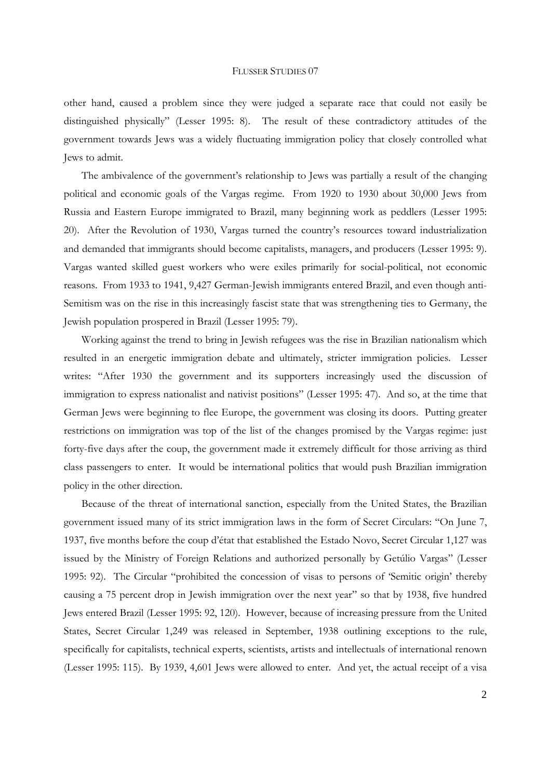other hand, caused a problem since they were judged a separate race that could not easily be distinguished physically" (Lesser 1995: 8). The result of these contradictory attitudes of the government towards Jews was a widely fluctuating immigration policy that closely controlled what Jews to admit.

 The ambivalence of the government's relationship to Jews was partially a result of the changing political and economic goals of the Vargas regime. From 1920 to 1930 about 30,000 Jews from Russia and Eastern Europe immigrated to Brazil, many beginning work as peddlers (Lesser 1995: 20). After the Revolution of 1930, Vargas turned the country's resources toward industrialization and demanded that immigrants should become capitalists, managers, and producers (Lesser 1995: 9). Vargas wanted skilled guest workers who were exiles primarily for social-political, not economic reasons. From 1933 to 1941, 9,427 German-Jewish immigrants entered Brazil, and even though anti-Semitism was on the rise in this increasingly fascist state that was strengthening ties to Germany, the Jewish population prospered in Brazil (Lesser 1995: 79).

 Working against the trend to bring in Jewish refugees was the rise in Brazilian nationalism which resulted in an energetic immigration debate and ultimately, stricter immigration policies. Lesser writes: "After 1930 the government and its supporters increasingly used the discussion of immigration to express nationalist and nativist positions" (Lesser 1995: 47). And so, at the time that German Jews were beginning to flee Europe, the government was closing its doors. Putting greater restrictions on immigration was top of the list of the changes promised by the Vargas regime: just forty-five days after the coup, the government made it extremely difficult for those arriving as third class passengers to enter. It would be international politics that would push Brazilian immigration policy in the other direction.

 Because of the threat of international sanction, especially from the United States, the Brazilian government issued many of its strict immigration laws in the form of Secret Circulars: "On June 7, 1937, five months before the coup d'état that established the Estado Novo, Secret Circular 1,127 was issued by the Ministry of Foreign Relations and authorized personally by Getúlio Vargas" (Lesser 1995: 92). The Circular "prohibited the concession of visas to persons of 'Semitic origin' thereby causing a 75 percent drop in Jewish immigration over the next year" so that by 1938, five hundred Jews entered Brazil (Lesser 1995: 92, 120). However, because of increasing pressure from the United States, Secret Circular 1,249 was released in September, 1938 outlining exceptions to the rule, specifically for capitalists, technical experts, scientists, artists and intellectuals of international renown (Lesser 1995: 115). By 1939, 4,601 Jews were allowed to enter. And yet, the actual receipt of a visa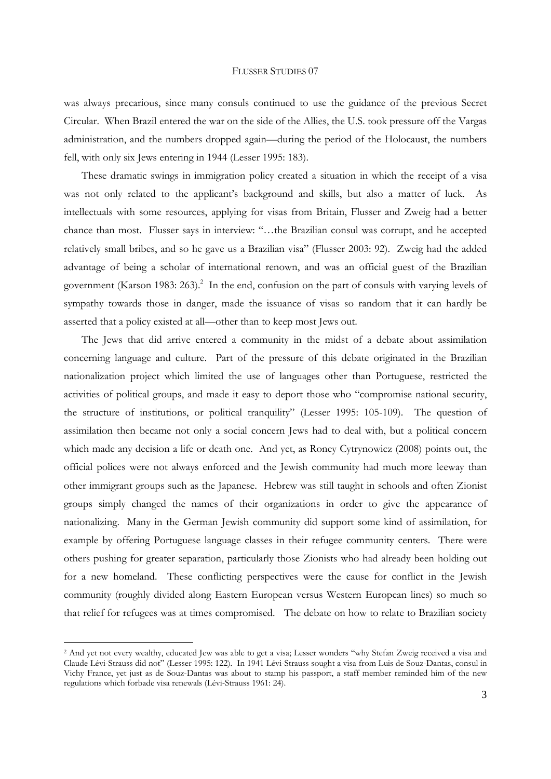was always precarious, since many consuls continued to use the guidance of the previous Secret Circular. When Brazil entered the war on the side of the Allies, the U.S. took pressure off the Vargas administration, and the numbers dropped again—during the period of the Holocaust, the numbers fell, with only six Jews entering in 1944 (Lesser 1995: 183).

 These dramatic swings in immigration policy created a situation in which the receipt of a visa was not only related to the applicant's background and skills, but also a matter of luck. As intellectuals with some resources, applying for visas from Britain, Flusser and Zweig had a better chance than most. Flusser says in interview: "…the Brazilian consul was corrupt, and he accepted relatively small bribes, and so he gave us a Brazilian visa" (Flusser 2003: 92). Zweig had the added advantage of being a scholar of international renown, and was an official guest of the Brazilian government (Karson 1983: 263).<sup>2</sup> In the end, confusion on the part of consuls with varying levels of sympathy towards those in danger, made the issuance of visas so random that it can hardly be asserted that a policy existed at all—other than to keep most Jews out.

 The Jews that did arrive entered a community in the midst of a debate about assimilation concerning language and culture. Part of the pressure of this debate originated in the Brazilian nationalization project which limited the use of languages other than Portuguese, restricted the activities of political groups, and made it easy to deport those who "compromise national security, the structure of institutions, or political tranquility" (Lesser 1995: 105-109). The question of assimilation then became not only a social concern Jews had to deal with, but a political concern which made any decision a life or death one. And yet, as Roney Cytrynowicz (2008) points out, the official polices were not always enforced and the Jewish community had much more leeway than other immigrant groups such as the Japanese. Hebrew was still taught in schools and often Zionist groups simply changed the names of their organizations in order to give the appearance of nationalizing. Many in the German Jewish community did support some kind of assimilation, for example by offering Portuguese language classes in their refugee community centers. There were others pushing for greater separation, particularly those Zionists who had already been holding out for a new homeland. These conflicting perspectives were the cause for conflict in the Jewish community (roughly divided along Eastern European versus Western European lines) so much so that relief for refugees was at times compromised. The debate on how to relate to Brazilian society

 $\overline{a}$ 

<sup>&</sup>lt;sup>2</sup> And yet not every wealthy, educated Jew was able to get a visa; Lesser wonders "why Stefan Zweig received a visa and Claude Lévi-Strauss did not" (Lesser 1995: 122). In 1941 Lévi-Strauss sought a visa from Luis de Souz-Dantas, consul in Vichy France, yet just as de Souz-Dantas was about to stamp his passport, a staff member reminded him of the new regulations which forbade visa renewals (Lévi-Strauss 1961: 24).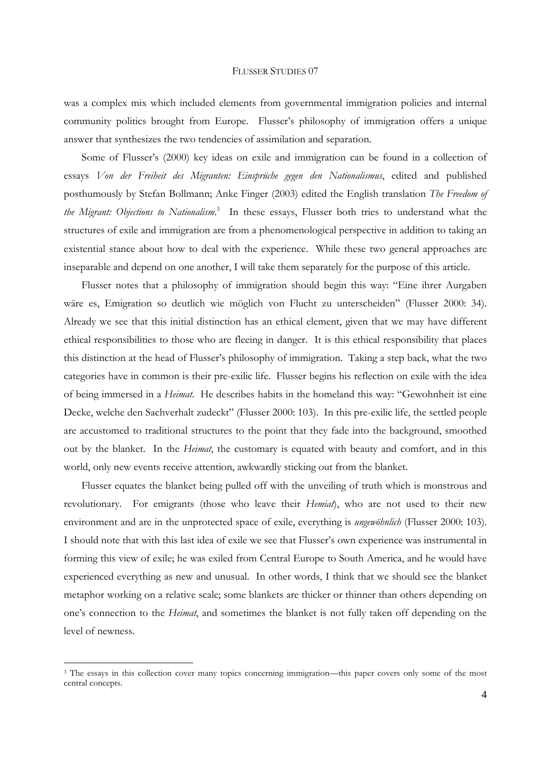was a complex mix which included elements from governmental immigration policies and internal community politics brought from Europe. Flusser's philosophy of immigration offers a unique answer that synthesizes the two tendencies of assimilation and separation.

 Some of Flusser's (2000) key ideas on exile and immigration can be found in a collection of essays *Von der Freiheit des Migranten: Einsprüche gegen den Nationalismus*, edited and published posthumously by Stefan Bollmann; Anke Finger (2003) edited the English translation *The Freedom of the Migrant: Objections to Nationalism*. 3 In these essays, Flusser both tries to understand what the structures of exile and immigration are from a phenomenological perspective in addition to taking an existential stance about how to deal with the experience. While these two general approaches are inseparable and depend on one another, I will take them separately for the purpose of this article.

 Flusser notes that a philosophy of immigration should begin this way: "Eine ihrer Aurgaben wäre es, Emigration so deutlich wie möglich von Flucht zu unterscheiden" (Flusser 2000: 34). Already we see that this initial distinction has an ethical element, given that we may have different ethical responsibilities to those who are fleeing in danger. It is this ethical responsibility that places this distinction at the head of Flusser's philosophy of immigration. Taking a step back, what the two categories have in common is their pre-exilic life. Flusser begins his reflection on exile with the idea of being immersed in a *Heimat*. He describes habits in the homeland this way: "Gewohnheit ist eine Decke, welche den Sachverhalt zudeckt" (Flusser 2000: 103). In this pre-exilic life, the settled people are accustomed to traditional structures to the point that they fade into the background, smoothed out by the blanket. In the *Heimat*, the customary is equated with beauty and comfort, and in this world, only new events receive attention, awkwardly sticking out from the blanket.

 Flusser equates the blanket being pulled off with the unveiling of truth which is monstrous and revolutionary. For emigrants (those who leave their *Hemiat*), who are not used to their new environment and are in the unprotected space of exile, everything is *ungewöhnlich* (Flusser 2000: 103). I should note that with this last idea of exile we see that Flusser's own experience was instrumental in forming this view of exile; he was exiled from Central Europe to South America, and he would have experienced everything as new and unusual. In other words, I think that we should see the blanket metaphor working on a relative scale; some blankets are thicker or thinner than others depending on one's connection to the *Heimat*, and sometimes the blanket is not fully taken off depending on the level of newness.

-

<sup>&</sup>lt;sup>3</sup> The essays in this collection cover many topics concerning immigration—this paper covers only some of the most central concepts.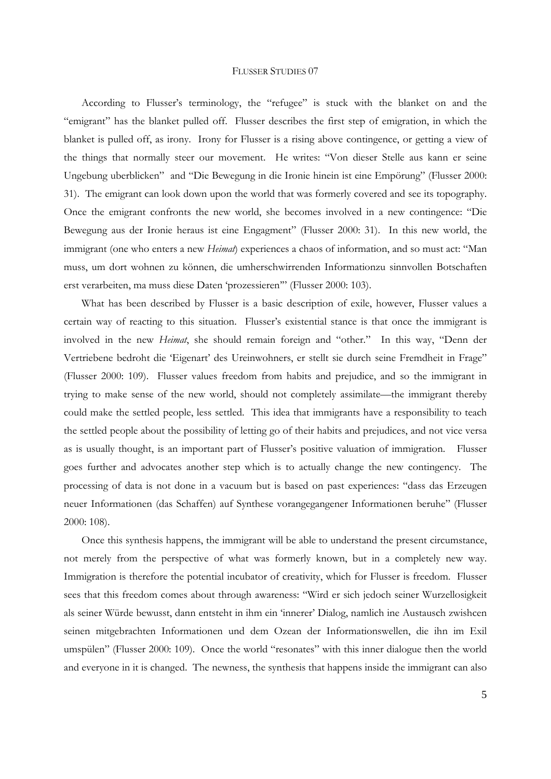According to Flusser's terminology, the "refugee" is stuck with the blanket on and the "emigrant" has the blanket pulled off. Flusser describes the first step of emigration, in which the blanket is pulled off, as irony. Irony for Flusser is a rising above contingence, or getting a view of the things that normally steer our movement. He writes: "Von dieser Stelle aus kann er seine Ungebung uberblicken" and "Die Bewegung in die Ironie hinein ist eine Empörung" (Flusser 2000: 31). The emigrant can look down upon the world that was formerly covered and see its topography. Once the emigrant confronts the new world, she becomes involved in a new contingence: "Die Bewegung aus der Ironie heraus ist eine Engagment" (Flusser 2000: 31). In this new world, the immigrant (one who enters a new *Heimat*) experiences a chaos of information, and so must act: "Man muss, um dort wohnen zu können, die umherschwirrenden Informationzu sinnvollen Botschaften erst verarbeiten, ma muss diese Daten 'prozessieren'" (Flusser 2000: 103).

 What has been described by Flusser is a basic description of exile, however, Flusser values a certain way of reacting to this situation. Flusser's existential stance is that once the immigrant is involved in the new *Heimat*, she should remain foreign and "other." In this way, "Denn der Vertriebene bedroht die 'Eigenart' des Ureinwohners, er stellt sie durch seine Fremdheit in Frage" (Flusser 2000: 109). Flusser values freedom from habits and prejudice, and so the immigrant in trying to make sense of the new world, should not completely assimilate—the immigrant thereby could make the settled people, less settled. This idea that immigrants have a responsibility to teach the settled people about the possibility of letting go of their habits and prejudices, and not vice versa as is usually thought, is an important part of Flusser's positive valuation of immigration. Flusser goes further and advocates another step which is to actually change the new contingency. The processing of data is not done in a vacuum but is based on past experiences: "dass das Erzeugen neuer Informationen (das Schaffen) auf Synthese vorangegangener Informationen beruhe" (Flusser 2000: 108).

 Once this synthesis happens, the immigrant will be able to understand the present circumstance, not merely from the perspective of what was formerly known, but in a completely new way. Immigration is therefore the potential incubator of creativity, which for Flusser is freedom. Flusser sees that this freedom comes about through awareness: "Wird er sich jedoch seiner Wurzellosigkeit als seiner Würde bewusst, dann entsteht in ihm ein 'innerer' Dialog, namlich ine Austausch zwishcen seinen mitgebrachten Informationen und dem Ozean der Informationswellen, die ihn im Exil umspülen" (Flusser 2000: 109). Once the world "resonates" with this inner dialogue then the world and everyone in it is changed. The newness, the synthesis that happens inside the immigrant can also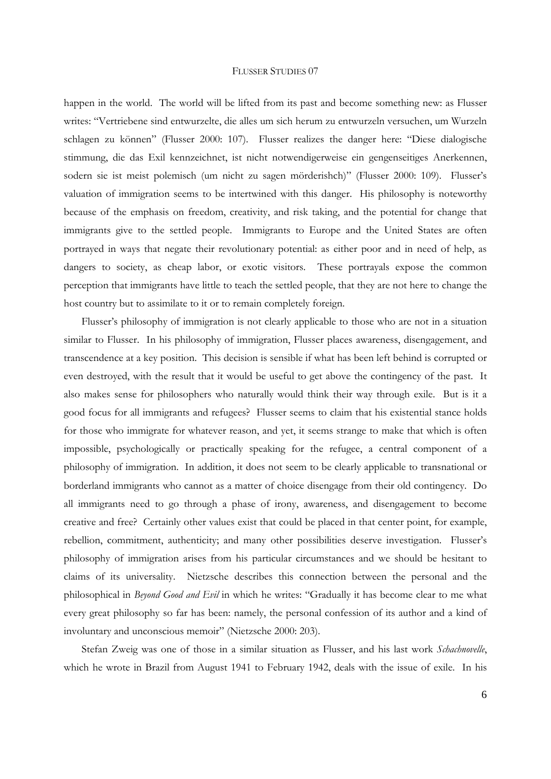happen in the world. The world will be lifted from its past and become something new: as Flusser writes: "Vertriebene sind entwurzelte, die alles um sich herum zu entwurzeln versuchen, um Wurzeln schlagen zu können" (Flusser 2000: 107). Flusser realizes the danger here: "Diese dialogische stimmung, die das Exil kennzeichnet, ist nicht notwendigerweise ein gengenseitiges Anerkennen, sodern sie ist meist polemisch (um nicht zu sagen mörderishch)" (Flusser 2000: 109). Flusser's valuation of immigration seems to be intertwined with this danger. His philosophy is noteworthy because of the emphasis on freedom, creativity, and risk taking, and the potential for change that immigrants give to the settled people. Immigrants to Europe and the United States are often portrayed in ways that negate their revolutionary potential: as either poor and in need of help, as dangers to society, as cheap labor, or exotic visitors. These portrayals expose the common perception that immigrants have little to teach the settled people, that they are not here to change the host country but to assimilate to it or to remain completely foreign.

 Flusser's philosophy of immigration is not clearly applicable to those who are not in a situation similar to Flusser. In his philosophy of immigration, Flusser places awareness, disengagement, and transcendence at a key position. This decision is sensible if what has been left behind is corrupted or even destroyed, with the result that it would be useful to get above the contingency of the past. It also makes sense for philosophers who naturally would think their way through exile. But is it a good focus for all immigrants and refugees? Flusser seems to claim that his existential stance holds for those who immigrate for whatever reason, and yet, it seems strange to make that which is often impossible, psychologically or practically speaking for the refugee, a central component of a philosophy of immigration. In addition, it does not seem to be clearly applicable to transnational or borderland immigrants who cannot as a matter of choice disengage from their old contingency. Do all immigrants need to go through a phase of irony, awareness, and disengagement to become creative and free? Certainly other values exist that could be placed in that center point, for example, rebellion, commitment, authenticity; and many other possibilities deserve investigation. Flusser's philosophy of immigration arises from his particular circumstances and we should be hesitant to claims of its universality. Nietzsche describes this connection between the personal and the philosophical in *Beyond Good and Evil* in which he writes: "Gradually it has become clear to me what every great philosophy so far has been: namely, the personal confession of its author and a kind of involuntary and unconscious memoir" (Nietzsche 2000: 203).

 Stefan Zweig was one of those in a similar situation as Flusser, and his last work *Schachnovelle*, which he wrote in Brazil from August 1941 to February 1942, deals with the issue of exile. In his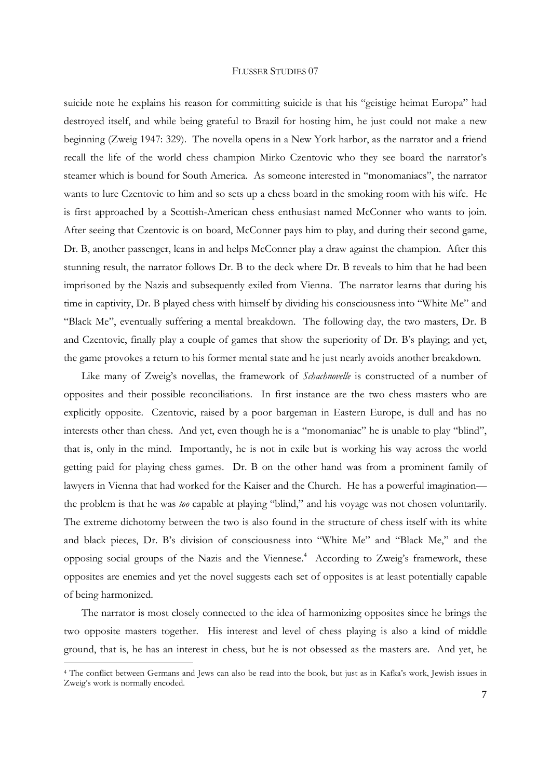suicide note he explains his reason for committing suicide is that his "geistige heimat Europa" had destroyed itself, and while being grateful to Brazil for hosting him, he just could not make a new beginning (Zweig 1947: 329). The novella opens in a New York harbor, as the narrator and a friend recall the life of the world chess champion Mirko Czentovic who they see board the narrator's steamer which is bound for South America. As someone interested in "monomaniacs", the narrator wants to lure Czentovic to him and so sets up a chess board in the smoking room with his wife. He is first approached by a Scottish-American chess enthusiast named McConner who wants to join. After seeing that Czentovic is on board, McConner pays him to play, and during their second game, Dr. B, another passenger, leans in and helps McConner play a draw against the champion. After this stunning result, the narrator follows Dr. B to the deck where Dr. B reveals to him that he had been imprisoned by the Nazis and subsequently exiled from Vienna. The narrator learns that during his time in captivity, Dr. B played chess with himself by dividing his consciousness into "White Me" and "Black Me", eventually suffering a mental breakdown. The following day, the two masters, Dr. B and Czentovic, finally play a couple of games that show the superiority of Dr. B's playing; and yet, the game provokes a return to his former mental state and he just nearly avoids another breakdown.

 Like many of Zweig's novellas, the framework of *Schachnovelle* is constructed of a number of opposites and their possible reconciliations. In first instance are the two chess masters who are explicitly opposite. Czentovic, raised by a poor bargeman in Eastern Europe, is dull and has no interests other than chess. And yet, even though he is a "monomaniac" he is unable to play "blind", that is, only in the mind. Importantly, he is not in exile but is working his way across the world getting paid for playing chess games. Dr. B on the other hand was from a prominent family of lawyers in Vienna that had worked for the Kaiser and the Church. He has a powerful imagination the problem is that he was *too* capable at playing "blind," and his voyage was not chosen voluntarily. The extreme dichotomy between the two is also found in the structure of chess itself with its white and black pieces, Dr. B's division of consciousness into "White Me" and "Black Me," and the opposing social groups of the Nazis and the Viennese.<sup>4</sup> According to Zweig's framework, these opposites are enemies and yet the novel suggests each set of opposites is at least potentially capable of being harmonized.

 The narrator is most closely connected to the idea of harmonizing opposites since he brings the two opposite masters together. His interest and level of chess playing is also a kind of middle ground, that is, he has an interest in chess, but he is not obsessed as the masters are. And yet, he

-

<sup>&</sup>lt;sup>4</sup> The conflict between Germans and Jews can also be read into the book, but just as in Kafka's work, Jewish issues in Zweig's work is normally encoded.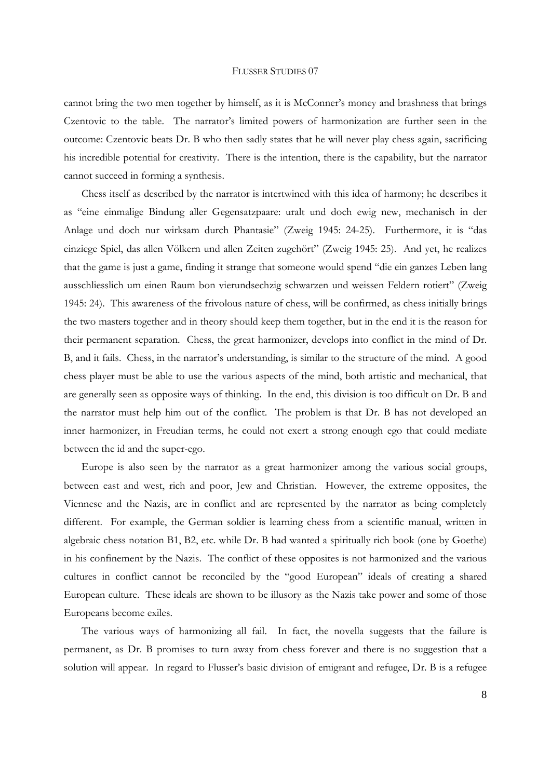cannot bring the two men together by himself, as it is McConner's money and brashness that brings Czentovic to the table. The narrator's limited powers of harmonization are further seen in the outcome: Czentovic beats Dr. B who then sadly states that he will never play chess again, sacrificing his incredible potential for creativity. There is the intention, there is the capability, but the narrator cannot succeed in forming a synthesis.

 Chess itself as described by the narrator is intertwined with this idea of harmony; he describes it as "eine einmalige Bindung aller Gegensatzpaare: uralt und doch ewig new, mechanisch in der Anlage und doch nur wirksam durch Phantasie" (Zweig 1945: 24-25). Furthermore, it is "das einziege Spiel, das allen Völkern und allen Zeiten zugehört" (Zweig 1945: 25). And yet, he realizes that the game is just a game, finding it strange that someone would spend "die ein ganzes Leben lang ausschliesslich um einen Raum bon vierundsechzig schwarzen und weissen Feldern rotiert" (Zweig 1945: 24). This awareness of the frivolous nature of chess, will be confirmed, as chess initially brings the two masters together and in theory should keep them together, but in the end it is the reason for their permanent separation. Chess, the great harmonizer, develops into conflict in the mind of Dr. B, and it fails. Chess, in the narrator's understanding, is similar to the structure of the mind. A good chess player must be able to use the various aspects of the mind, both artistic and mechanical, that are generally seen as opposite ways of thinking. In the end, this division is too difficult on Dr. B and the narrator must help him out of the conflict. The problem is that Dr. B has not developed an inner harmonizer, in Freudian terms, he could not exert a strong enough ego that could mediate between the id and the super-ego.

 Europe is also seen by the narrator as a great harmonizer among the various social groups, between east and west, rich and poor, Jew and Christian. However, the extreme opposites, the Viennese and the Nazis, are in conflict and are represented by the narrator as being completely different. For example, the German soldier is learning chess from a scientific manual, written in algebraic chess notation B1, B2, etc. while Dr. B had wanted a spiritually rich book (one by Goethe) in his confinement by the Nazis. The conflict of these opposites is not harmonized and the various cultures in conflict cannot be reconciled by the "good European" ideals of creating a shared European culture. These ideals are shown to be illusory as the Nazis take power and some of those Europeans become exiles.

 The various ways of harmonizing all fail. In fact, the novella suggests that the failure is permanent, as Dr. B promises to turn away from chess forever and there is no suggestion that a solution will appear. In regard to Flusser's basic division of emigrant and refugee, Dr. B is a refugee